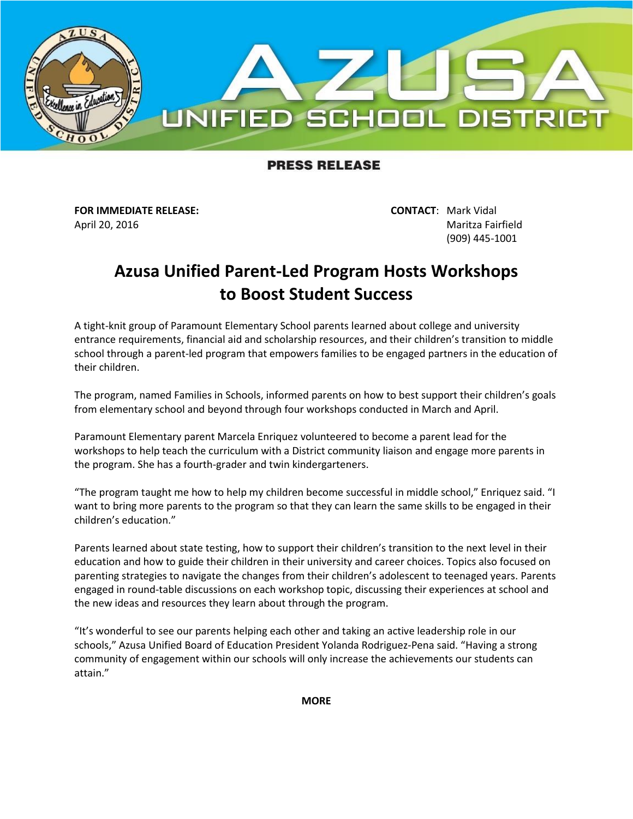

## **PRESS RELEASE**

**FOR IMMEDIATE RELEASE: CONTACT**: Mark Vidal

April 20, 2016 Maritza Fairfield (909) 445-1001

## **Azusa Unified Parent-Led Program Hosts Workshops to Boost Student Success**

A tight-knit group of Paramount Elementary School parents learned about college and university entrance requirements, financial aid and scholarship resources, and their children's transition to middle school through a parent-led program that empowers families to be engaged partners in the education of their children.

The program, named Families in Schools, informed parents on how to best support their children's goals from elementary school and beyond through four workshops conducted in March and April.

Paramount Elementary parent Marcela Enriquez volunteered to become a parent lead for the workshops to help teach the curriculum with a District community liaison and engage more parents in the program. She has a fourth-grader and twin kindergarteners.

"The program taught me how to help my children become successful in middle school," Enriquez said. "I want to bring more parents to the program so that they can learn the same skills to be engaged in their children's education."

Parents learned about state testing, how to support their children's transition to the next level in their education and how to guide their children in their university and career choices. Topics also focused on parenting strategies to navigate the changes from their children's adolescent to teenaged years. Parents engaged in round-table discussions on each workshop topic, discussing their experiences at school and the new ideas and resources they learn about through the program.

"It's wonderful to see our parents helping each other and taking an active leadership role in our schools," Azusa Unified Board of Education President Yolanda Rodriguez-Pena said. "Having a strong community of engagement within our schools will only increase the achievements our students can attain."

**MORE**